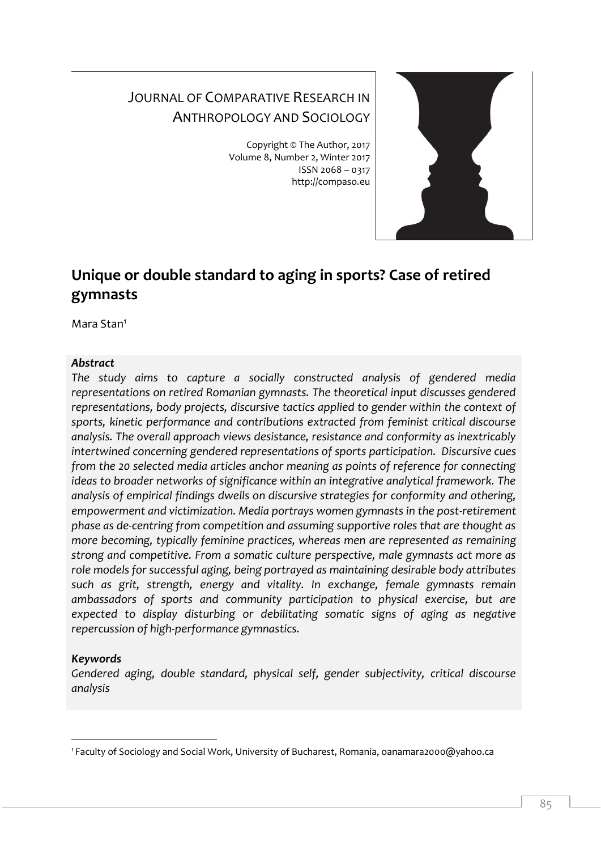# JOURNAL OF COMPARATIVE RESEARCH IN ANTHROPOLOGY AND SOCIOLOGY

Copyright © The Author, 2017 Volume 8, Number 2, Winter 2017 ISSN 2068 – 0317 http://compaso.eu



# **Unique or double standard to aging in sports? Case of retired gymnasts**

Mara Stan<sup>1</sup>

## *Abstract*

*The study aims to capture a socially constructed analysis of gendered media representations on retired Romanian gymnasts. The theoretical input discusses gendered representations, body projects, discursive tactics applied to gender within the context of sports, kinetic performance and contributions extracted from feminist critical discourse analysis. The overall approach views desistance, resistance and conformity as inextricably intertwined concerning gendered representations of sports participation. Discursive cues from the 20 selected media articles anchor meaning as points of reference for connecting ideas to broader networks of significance within an integrative analytical framework. The analysis of empirical findings dwells on discursive strategies for conformity and othering, empowerment and victimization. Media portrays women gymnasts in the post-retirement phase as de-centring from competition and assuming supportive roles that are thought as more becoming, typically feminine practices, whereas men are represented as remaining strong and competitive. From a somatic culture perspective, male gymnasts act more as role models for successful aging, being portrayed as maintaining desirable body attributes such as grit, strength, energy and vitality. In exchange, female gymnasts remain ambassadors of sports and community participation to physical exercise, but are expected to display disturbing or debilitating somatic signs of aging as negative repercussion of high-performance gymnastics.* 

## *Keywords*

-

*Gendered aging, double standard, physical self, gender subjectivity, critical discourse analysis*

<sup>1</sup> Faculty of Sociology and Social Work, University of Bucharest, Romania, oanamara2000@yahoo.ca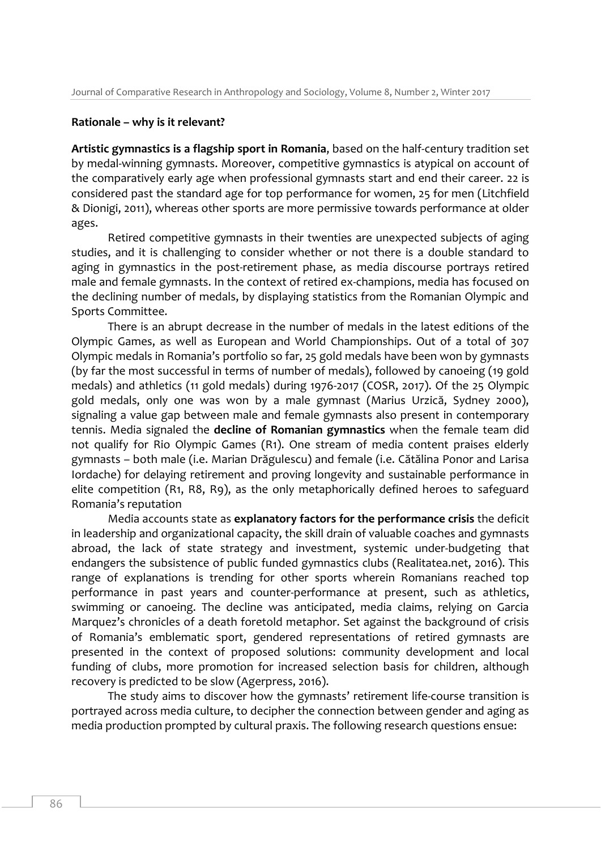#### **Rationale – why is it relevant?**

**Artistic gymnastics is a flagship sport in Romania**, based on the half-century tradition set by medal-winning gymnasts. Moreover, competitive gymnastics is atypical on account of the comparatively early age when professional gymnasts start and end their career. 22 is considered past the standard age for top performance for women, 25 for men (Litchfield & Dionigi, 2011), whereas other sports are more permissive towards performance at older ages.

Retired competitive gymnasts in their twenties are unexpected subjects of aging studies, and it is challenging to consider whether or not there is a double standard to aging in gymnastics in the post-retirement phase, as media discourse portrays retired male and female gymnasts. In the context of retired ex-champions, media has focused on the declining number of medals, by displaying statistics from the Romanian Olympic and Sports Committee.

There is an abrupt decrease in the number of medals in the latest editions of the Olympic Games, as well as European and World Championships. Out of a total of 307 Olympic medals in Romania's portfolio so far, 25 gold medals have been won by gymnasts (by far the most successful in terms of number of medals), followed by canoeing (19 gold medals) and athletics (11 gold medals) during 1976-2017 (COSR, 2017). Of the 25 Olympic gold medals, only one was won by a male gymnast (Marius Urzică, Sydney 2000), signaling a value gap between male and female gymnasts also present in contemporary tennis. Media signaled the **decline of Romanian gymnastics** when the female team did not qualify for Rio Olympic Games (R1). One stream of media content praises elderly gymnasts – both male (i.e. Marian Drăgulescu) and female (i.e. Cătălina Ponor and Larisa Iordache) for delaying retirement and proving longevity and sustainable performance in elite competition (R1, R8, R9), as the only metaphorically defined heroes to safeguard Romania's reputation

Media accounts state as **explanatory factors for the performance crisis** the deficit in leadership and organizational capacity, the skill drain of valuable coaches and gymnasts abroad, the lack of state strategy and investment, systemic under-budgeting that endangers the subsistence of public funded gymnastics clubs (Realitatea.net, 2016). This range of explanations is trending for other sports wherein Romanians reached top performance in past years and counter-performance at present, such as athletics, swimming or canoeing. The decline was anticipated, media claims, relying on Garcia Marquez's chronicles of a death foretold metaphor. Set against the background of crisis of Romania's emblematic sport, gendered representations of retired gymnasts are presented in the context of proposed solutions: community development and local funding of clubs, more promotion for increased selection basis for children, although recovery is predicted to be slow (Agerpress, 2016).

The study aims to discover how the gymnasts' retirement life-course transition is portrayed across media culture, to decipher the connection between gender and aging as media production prompted by cultural praxis. The following research questions ensue: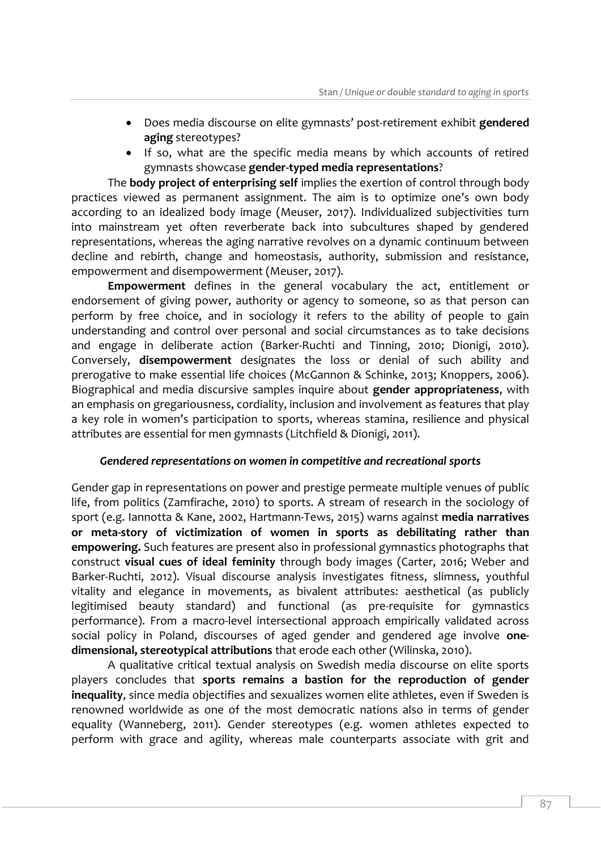- Does media discourse on elite gymnasts' post-retirement exhibit **gendered aging** stereotypes?
- If so, what are the specific media means by which accounts of retired gymnasts showcase **gender-typed media representations**?

The **body project of enterprising self** implies the exertion of control through body practices viewed as permanent assignment. The aim is to optimize one's own body according to an idealized body image (Meuser, 2017). Individualized subjectivities turn into mainstream yet often reverberate back into subcultures shaped by gendered representations, whereas the aging narrative revolves on a dynamic continuum between decline and rebirth, change and homeostasis, authority, submission and resistance, empowerment and disempowerment (Meuser, 2017).

**Empowerment** defines in the general vocabulary the act, entitlement or endorsement of giving power, authority or agency to someone, so as that person can perform by free choice, and in sociology it refers to the ability of people to gain understanding and control over personal and social circumstances as to take decisions and engage in deliberate action (Barker-Ruchti and Tinning, 2010; Dionigi, 2010). Conversely, **disempowerment** designates the loss or denial of such ability and prerogative to make essential life choices (McGannon & Schinke, 2013; Knoppers, 2006). Biographical and media discursive samples inquire about **gender appropriateness**, with an emphasis on gregariousness, cordiality, inclusion and involvement as features that play a key role in women's participation to sports, whereas stamina, resilience and physical attributes are essential for men gymnasts (Litchfield & Dionigi, 2011).

## *Gendered representations on women in competitive and recreational sports*

Gender gap in representations on power and prestige permeate multiple venues of public life, from politics (Zamfirache, 2010) to sports. A stream of research in the sociology of sport (e.g. Iannotta & Kane, 2002, Hartmann-Tews, 2015) warns against **media narratives or meta-story of victimization of women in sports as debilitating rather than empowering.** Such features are present also in professional gymnastics photographs that construct **visual cues of ideal feminity** through body images (Carter, 2016; Weber and Barker-Ruchti, 2012). Visual discourse analysis investigates fitness, slimness, youthful vitality and elegance in movements, as bivalent attributes: aesthetical (as publicly legitimised beauty standard) and functional (as pre-requisite for gymnastics performance). From a macro-level intersectional approach empirically validated across social policy in Poland, discourses of aged gender and gendered age involve **onedimensional, stereotypical attributions** that erode each other (Wilinska, 2010).

A qualitative critical textual analysis on Swedish media discourse on elite sports players concludes that **sports remains a bastion for the reproduction of gender inequality**, since media objectifies and sexualizes women elite athletes, even if Sweden is renowned worldwide as one of the most democratic nations also in terms of gender equality (Wanneberg, 2011). Gender stereotypes (e.g. women athletes expected to perform with grace and agility, whereas male counterparts associate with grit and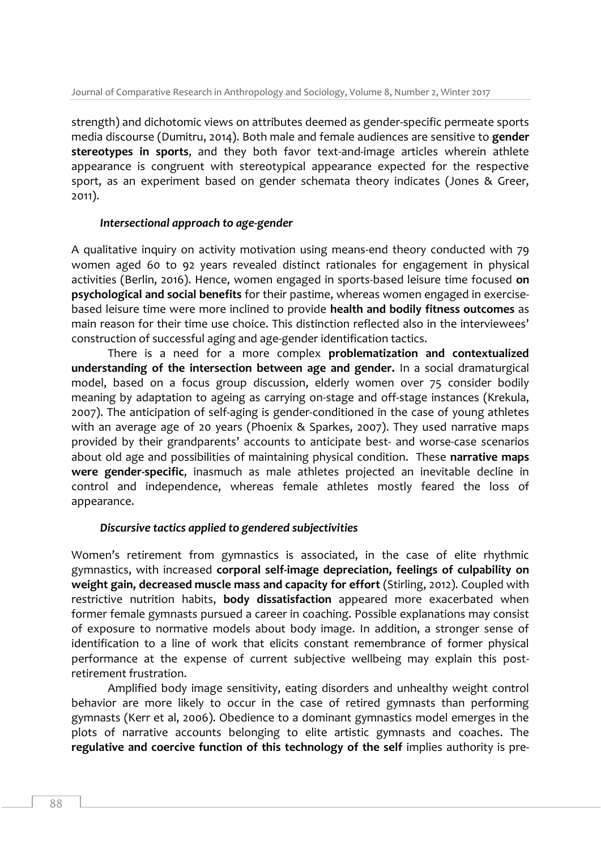strength) and dichotomic views on attributes deemed as gender-specific permeate sports media discourse (Dumitru, 2014). Both male and female audiences are sensitive to **gender stereotypes in sports**, and they both favor text-and-image articles wherein athlete appearance is congruent with stereotypical appearance expected for the respective sport, as an experiment based on gender schemata theory indicates (Jones & Greer, 2011).

## *Intersectional approach to age-gender*

A qualitative inquiry on activity motivation using means-end theory conducted with 79 women aged 60 to 92 years revealed distinct rationales for engagement in physical activities (Berlin, 2016). Hence, women engaged in sports-based leisure time focused **on psychological and social benefits** for their pastime, whereas women engaged in exercisebased leisure time were more inclined to provide **health and bodily fitness outcomes** as main reason for their time use choice. This distinction reflected also in the interviewees' construction of successful aging and age-gender identification tactics.

There is a need for a more complex **problematization and contextualized understanding of the intersection between age and gender.** In a social dramaturgical model, based on a focus group discussion, elderly women over 75 consider bodily meaning by adaptation to ageing as carrying on-stage and off-stage instances (Krekula, 2007). The anticipation of self-aging is gender-conditioned in the case of young athletes with an average age of 20 years (Phoenix & Sparkes, 2007). They used narrative maps provided by their grandparents' accounts to anticipate best- and worse-case scenarios about old age and possibilities of maintaining physical condition. These **narrative maps were gender-specific**, inasmuch as male athletes projected an inevitable decline in control and independence, whereas female athletes mostly feared the loss of appearance.

## *Discursive tactics applied to gendered subjectivities*

Women's retirement from gymnastics is associated, in the case of elite rhythmic gymnastics, with increased **corporal self-image depreciation, feelings of culpability on weight gain, decreased muscle mass and capacity for effort** (Stirling, 2012). Coupled with restrictive nutrition habits, **body dissatisfaction** appeared more exacerbated when former female gymnasts pursued a career in coaching. Possible explanations may consist of exposure to normative models about body image. In addition, a stronger sense of identification to a line of work that elicits constant remembrance of former physical performance at the expense of current subjective wellbeing may explain this postretirement frustration.

Amplified body image sensitivity, eating disorders and unhealthy weight control behavior are more likely to occur in the case of retired gymnasts than performing gymnasts (Kerr et al, 2006). Obedience to a dominant gymnastics model emerges in the plots of narrative accounts belonging to elite artistic gymnasts and coaches. The **regulative and coercive function of this technology of the self** implies authority is pre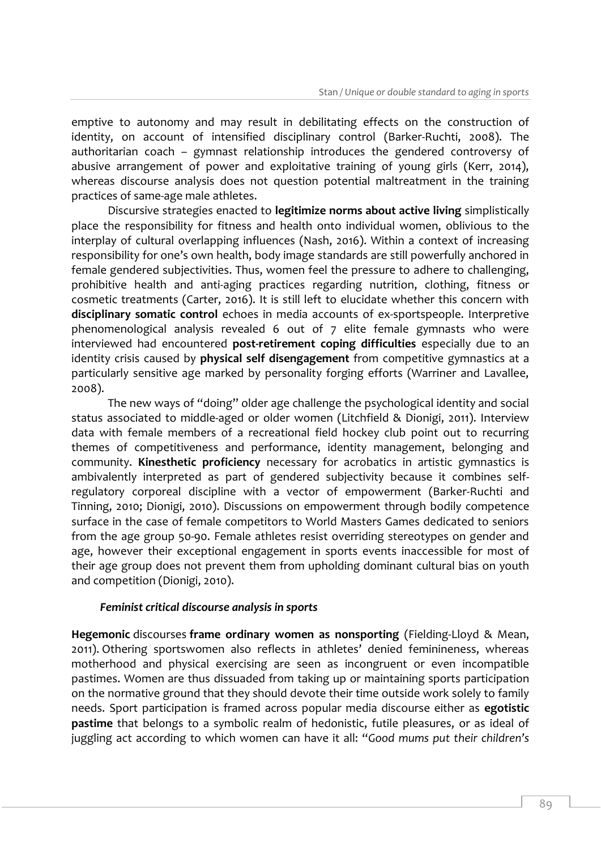emptive to autonomy and may result in debilitating effects on the construction of identity, on account of intensified disciplinary control (Barker-Ruchti, 2008). The authoritarian coach – gymnast relationship introduces the gendered controversy of abusive arrangement of power and exploitative training of young girls (Kerr, 2014), whereas discourse analysis does not question potential maltreatment in the training practices of same-age male athletes.

Discursive strategies enacted to **legitimize norms about active living** simplistically place the responsibility for fitness and health onto individual women, oblivious to the interplay of cultural overlapping influences (Nash, 2016). Within a context of increasing responsibility for one's own health, body image standards are still powerfully anchored in female gendered subjectivities. Thus, women feel the pressure to adhere to challenging, prohibitive health and anti-aging practices regarding nutrition, clothing, fitness or cosmetic treatments (Carter, 2016). It is still left to elucidate whether this concern with **disciplinary somatic control** echoes in media accounts of ex-sportspeople. Interpretive phenomenological analysis revealed 6 out of 7 elite female gymnasts who were interviewed had encountered **post-retirement coping difficulties** especially due to an identity crisis caused by **physical self disengagement** from competitive gymnastics at a particularly sensitive age marked by personality forging efforts (Warriner and Lavallee, 2008).

The new ways of "doing" older age challenge the psychological identity and social status associated to middle-aged or older women (Litchfield & Dionigi, 2011). Interview data with female members of a recreational field hockey club point out to recurring themes of competitiveness and performance, identity management, belonging and community. **Kinesthetic proficiency** necessary for acrobatics in artistic gymnastics is ambivalently interpreted as part of gendered subjectivity because it combines selfregulatory corporeal discipline with a vector of empowerment (Barker-Ruchti and Tinning, 2010; Dionigi, 2010). Discussions on empowerment through bodily competence surface in the case of female competitors to World Masters Games dedicated to seniors from the age group 50-90. Female athletes resist overriding stereotypes on gender and age, however their exceptional engagement in sports events inaccessible for most of their age group does not prevent them from upholding dominant cultural bias on youth and competition (Dionigi, 2010).

## *Feminist critical discourse analysis in sports*

**Hegemonic** discourses **frame ordinary women as nonsporting** (Fielding-Lloyd & Mean, 2011). Othering sportswomen also reflects in athletes' denied feminineness, whereas motherhood and physical exercising are seen as incongruent or even incompatible pastimes. Women are thus dissuaded from taking up or maintaining sports participation on the normative ground that they should devote their time outside work solely to family needs. Sport participation is framed across popular media discourse either as **egotistic pastime** that belongs to a symbolic realm of hedonistic, futile pleasures, or as ideal of juggling act according to which women can have it all: "*Good mums put their children's*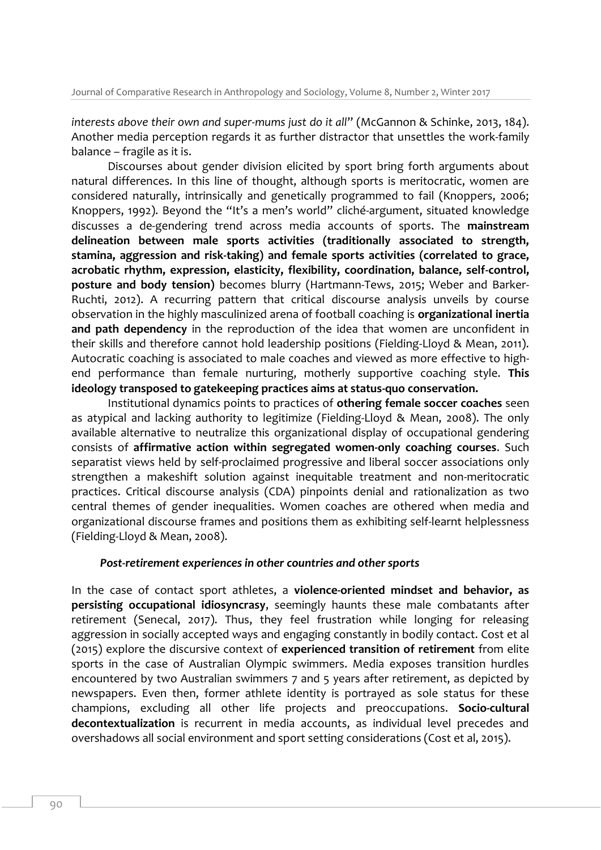*interests above their own and super-mums just do it all*" (McGannon & Schinke, 2013, 184). Another media perception regards it as further distractor that unsettles the work-family balance – fragile as it is.

Discourses about gender division elicited by sport bring forth arguments about natural differences. In this line of thought, although sports is meritocratic, women are considered naturally, intrinsically and genetically programmed to fail (Knoppers, 2006; Knoppers, 1992). Beyond the "It's a men's world" cliché-argument, situated knowledge discusses a de-gendering trend across media accounts of sports. The **mainstream delineation between male sports activities (traditionally associated to strength, stamina, aggression and risk-taking) and female sports activities (correlated to grace, acrobatic rhythm, expression, elasticity, flexibility, coordination, balance, self-control, posture and body tension)** becomes blurry (Hartmann-Tews, 2015; Weber and Barker-Ruchti, 2012). A recurring pattern that critical discourse analysis unveils by course observation in the highly masculinized arena of football coaching is **organizational inertia and path dependency** in the reproduction of the idea that women are unconfident in their skills and therefore cannot hold leadership positions (Fielding-Lloyd & Mean, 2011). Autocratic coaching is associated to male coaches and viewed as more effective to highend performance than female nurturing, motherly supportive coaching style. **This ideology transposed to gatekeeping practices aims at status-quo conservation.**

Institutional dynamics points to practices of **othering female soccer coaches** seen as atypical and lacking authority to legitimize (Fielding-Lloyd & Mean, 2008). The only available alternative to neutralize this organizational display of occupational gendering consists of **affirmative action within segregated women-only coaching courses**. Such separatist views held by self-proclaimed progressive and liberal soccer associations only strengthen a makeshift solution against inequitable treatment and non-meritocratic practices. Critical discourse analysis (CDA) pinpoints denial and rationalization as two central themes of gender inequalities. Women coaches are othered when media and organizational discourse frames and positions them as exhibiting self-learnt helplessness (Fielding-Lloyd & Mean, 2008).

## *Post-retirement experiences in other countries and other sports*

In the case of contact sport athletes, a **violence-oriented mindset and behavior, as persisting occupational idiosyncrasy**, seemingly haunts these male combatants after retirement (Senecal, 2017). Thus, they feel frustration while longing for releasing aggression in socially accepted ways and engaging constantly in bodily contact. Cost et al (2015) explore the discursive context of **experienced transition of retirement** from elite sports in the case of Australian Olympic swimmers. Media exposes transition hurdles encountered by two Australian swimmers 7 and 5 years after retirement, as depicted by newspapers. Even then, former athlete identity is portrayed as sole status for these champions, excluding all other life projects and preoccupations. **Socio-cultural decontextualization** is recurrent in media accounts, as individual level precedes and overshadows all social environment and sport setting considerations (Cost et al, 2015).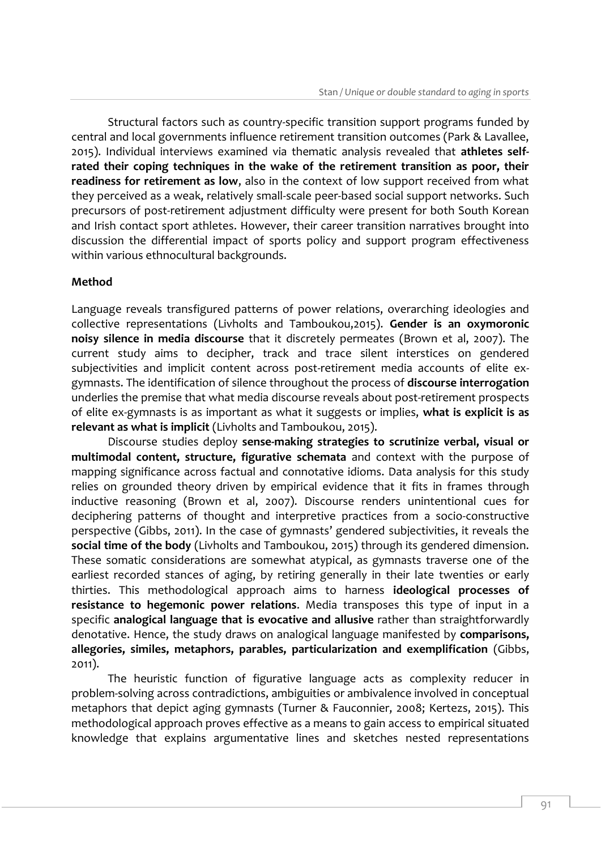Structural factors such as country-specific transition support programs funded by central and local governments influence retirement transition outcomes (Park & Lavallee, 2015). Individual interviews examined via thematic analysis revealed that **athletes selfrated their coping techniques in the wake of the retirement transition as poor, their readiness for retirement as low**, also in the context of low support received from what they perceived as a weak, relatively small-scale peer-based social support networks. Such precursors of post-retirement adjustment difficulty were present for both South Korean and Irish contact sport athletes. However, their career transition narratives brought into discussion the differential impact of sports policy and support program effectiveness within various ethnocultural backgrounds.

## **Method**

Language reveals transfigured patterns of power relations, overarching ideologies and collective representations (Livholts and Tamboukou,2015). **Gender is an oxymoronic noisy silence in media discourse** that it discretely permeates (Brown et al, 2007). The current study aims to decipher, track and trace silent interstices on gendered subjectivities and implicit content across post-retirement media accounts of elite exgymnasts. The identification of silence throughout the process of **discourse interrogation** underlies the premise that what media discourse reveals about post-retirement prospects of elite ex-gymnasts is as important as what it suggests or implies, **what is explicit is as relevant as what is implicit** (Livholts and Tamboukou, 2015).

Discourse studies deploy **sense-making strategies to scrutinize verbal, visual or multimodal content, structure, figurative schemata** and context with the purpose of mapping significance across factual and connotative idioms. Data analysis for this study relies on grounded theory driven by empirical evidence that it fits in frames through inductive reasoning (Brown et al, 2007). Discourse renders unintentional cues for deciphering patterns of thought and interpretive practices from a socio-constructive perspective (Gibbs, 2011). In the case of gymnasts' gendered subjectivities, it reveals the **social time of the body** (Livholts and Tamboukou, 2015) through its gendered dimension. These somatic considerations are somewhat atypical, as gymnasts traverse one of the earliest recorded stances of aging, by retiring generally in their late twenties or early thirties. This methodological approach aims to harness **ideological processes of resistance to hegemonic power relations**. Media transposes this type of input in a specific **analogical language that is evocative and allusive** rather than straightforwardly denotative. Hence, the study draws on analogical language manifested by **comparisons, allegories, similes, metaphors, parables, particularization and exemplification** (Gibbs, 2011).

The heuristic function of figurative language acts as complexity reducer in problem-solving across contradictions, ambiguities or ambivalence involved in conceptual metaphors that depict aging gymnasts (Turner & Fauconnier, 2008; Kertezs, 2015). This methodological approach proves effective as a means to gain access to empirical situated knowledge that explains argumentative lines and sketches nested representations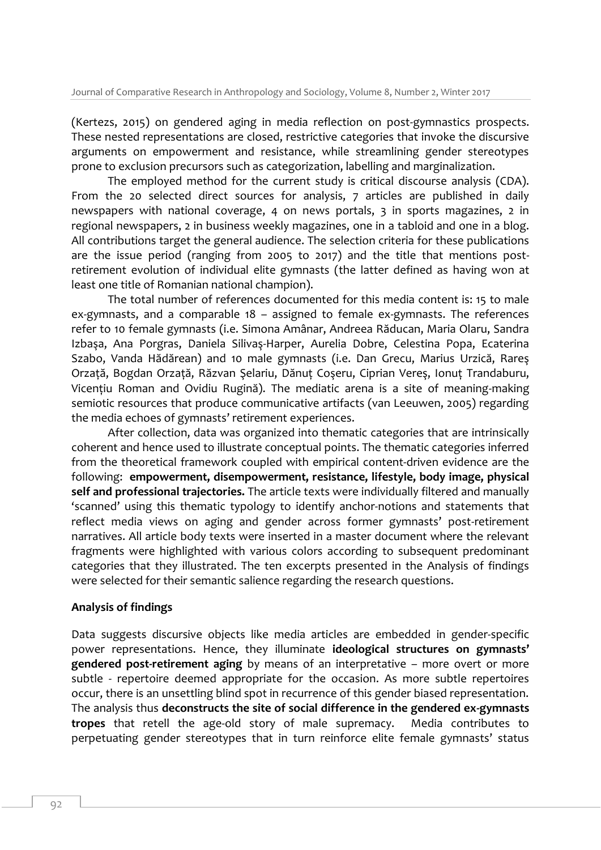(Kertezs, 2015) on gendered aging in media reflection on post-gymnastics prospects. These nested representations are closed, restrictive categories that invoke the discursive arguments on empowerment and resistance, while streamlining gender stereotypes prone to exclusion precursors such as categorization, labelling and marginalization.

The employed method for the current study is critical discourse analysis (CDA). From the 20 selected direct sources for analysis, 7 articles are published in daily newspapers with national coverage, 4 on news portals, 3 in sports magazines, 2 in regional newspapers, 2 in business weekly magazines, one in a tabloid and one in a blog. All contributions target the general audience. The selection criteria for these publications are the issue period (ranging from 2005 to 2017) and the title that mentions postretirement evolution of individual elite gymnasts (the latter defined as having won at least one title of Romanian national champion).

The total number of references documented for this media content is: 15 to male ex-gymnasts, and a comparable 18 – assigned to female ex-gymnasts. The references refer to 10 female gymnasts (i.e. Simona Amânar, Andreea Răducan, Maria Olaru, Sandra Izbaşa, Ana Porgras, Daniela Silivaş-Harper, Aurelia Dobre, Celestina Popa, Ecaterina Szabo, Vanda Hădărean) and 10 male gymnasts (i.e. Dan Grecu, Marius Urzică, Rareş Orzaţă, Bogdan Orzaţă, Răzvan Şelariu, Dănuţ Coşeru, Ciprian Vereş, Ionuţ Trandaburu, Vicenţiu Roman and Ovidiu Rugină). The mediatic arena is a site of meaning-making semiotic resources that produce communicative artifacts (van Leeuwen, 2005) regarding the media echoes of gymnasts' retirement experiences.

After collection, data was organized into thematic categories that are intrinsically coherent and hence used to illustrate conceptual points. The thematic categories inferred from the theoretical framework coupled with empirical content-driven evidence are the following: **empowerment, disempowerment, resistance, lifestyle, body image, physical self and professional trajectories.** The article texts were individually filtered and manually 'scanned' using this thematic typology to identify anchor-notions and statements that reflect media views on aging and gender across former gymnasts' post-retirement narratives. All article body texts were inserted in a master document where the relevant fragments were highlighted with various colors according to subsequent predominant categories that they illustrated. The ten excerpts presented in the Analysis of findings were selected for their semantic salience regarding the research questions.

#### **Analysis of findings**

Data suggests discursive objects like media articles are embedded in gender-specific power representations. Hence, they illuminate **ideological structures on gymnasts' gendered post-retirement aging** by means of an interpretative – more overt or more subtle - repertoire deemed appropriate for the occasion. As more subtle repertoires occur, there is an unsettling blind spot in recurrence of this gender biased representation. The analysis thus **deconstructs the site of social difference in the gendered ex-gymnasts tropes** that retell the age-old story of male supremacy. Media contributes to perpetuating gender stereotypes that in turn reinforce elite female gymnasts' status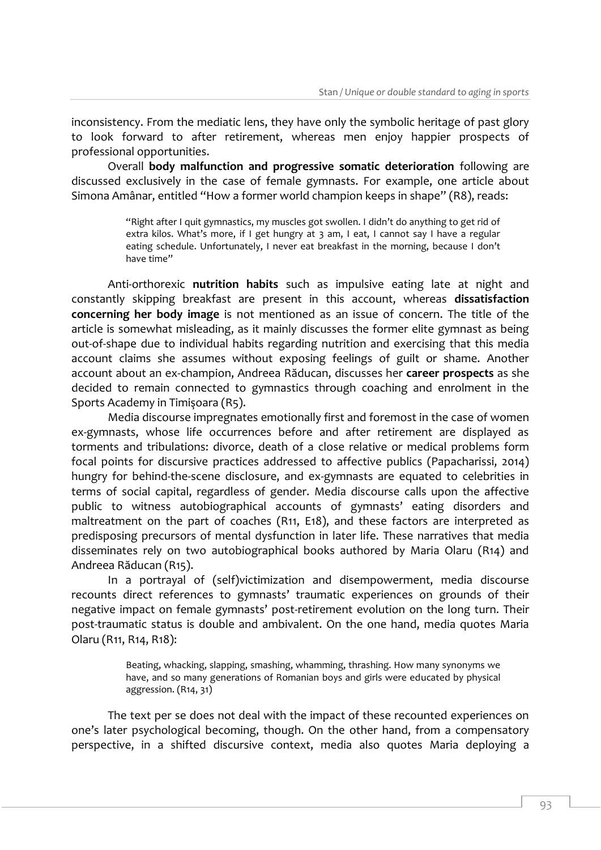inconsistency. From the mediatic lens, they have only the symbolic heritage of past glory to look forward to after retirement, whereas men enjoy happier prospects of professional opportunities.

Overall **body malfunction and progressive somatic deterioration** following are discussed exclusively in the case of female gymnasts. For example, one article about Simona Amânar, entitled "How a former world champion keeps in shape" (R8), reads:

> "Right after I quit gymnastics, my muscles got swollen. I didn't do anything to get rid of extra kilos. What's more, if I get hungry at 3 am, I eat, I cannot say I have a regular eating schedule. Unfortunately, I never eat breakfast in the morning, because I don't have time"

Anti-orthorexic **nutrition habits** such as impulsive eating late at night and constantly skipping breakfast are present in this account, whereas **dissatisfaction concerning her body image** is not mentioned as an issue of concern. The title of the article is somewhat misleading, as it mainly discusses the former elite gymnast as being out-of-shape due to individual habits regarding nutrition and exercising that this media account claims she assumes without exposing feelings of guilt or shame. Another account about an ex-champion, Andreea Răducan, discusses her **career prospects** as she decided to remain connected to gymnastics through coaching and enrolment in the Sports Academy in Timişoara (R5).

Media discourse impregnates emotionally first and foremost in the case of women ex-gymnasts, whose life occurrences before and after retirement are displayed as torments and tribulations: divorce, death of a close relative or medical problems form focal points for discursive practices addressed to affective publics (Papacharissi, 2014) hungry for behind-the-scene disclosure, and ex-gymnasts are equated to celebrities in terms of social capital, regardless of gender. Media discourse calls upon the affective public to witness autobiographical accounts of gymnasts' eating disorders and maltreatment on the part of coaches (R11, E18), and these factors are interpreted as predisposing precursors of mental dysfunction in later life. These narratives that media disseminates rely on two autobiographical books authored by Maria Olaru (R14) and Andreea Răducan (R15).

In a portrayal of (self)victimization and disempowerment, media discourse recounts direct references to gymnasts' traumatic experiences on grounds of their negative impact on female gymnasts' post-retirement evolution on the long turn. Their post-traumatic status is double and ambivalent. On the one hand, media quotes Maria Olaru (R11, R14, R18):

> Beating, whacking, slapping, smashing, whamming, thrashing. How many synonyms we have, and so many generations of Romanian boys and girls were educated by physical aggression. (R14, 31)

The text per se does not deal with the impact of these recounted experiences on one's later psychological becoming, though. On the other hand, from a compensatory perspective, in a shifted discursive context, media also quotes Maria deploying a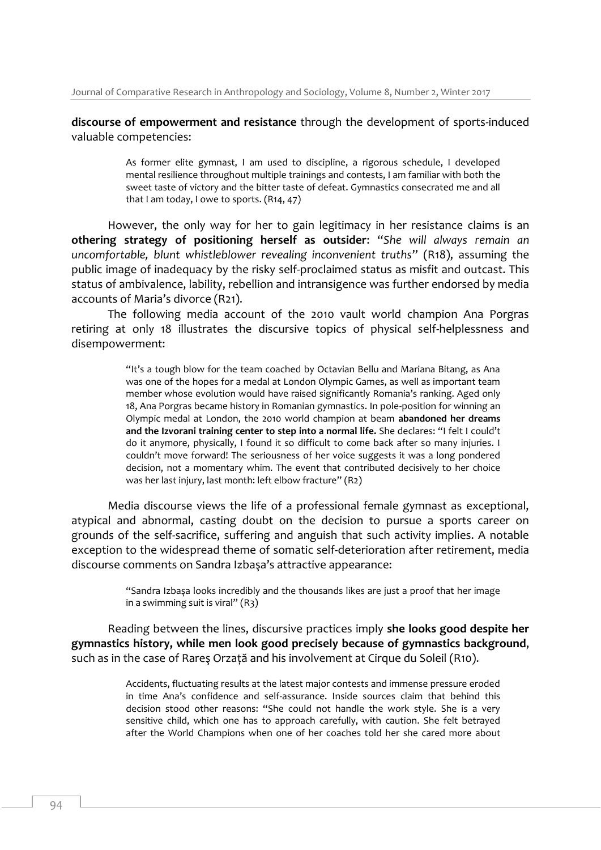**discourse of empowerment and resistance** through the development of sports-induced valuable competencies:

> As former elite gymnast, I am used to discipline, a rigorous schedule, I developed mental resilience throughout multiple trainings and contests, I am familiar with both the sweet taste of victory and the bitter taste of defeat. Gymnastics consecrated me and all that I am today, I owe to sports. (R14, 47)

However, the only way for her to gain legitimacy in her resistance claims is an **othering strategy of positioning herself as outsider**: "*She will always remain an uncomfortable, blunt whistleblower revealing inconvenient truths*" (R18), assuming the public image of inadequacy by the risky self-proclaimed status as misfit and outcast. This status of ambivalence, lability, rebellion and intransigence was further endorsed by media accounts of Maria's divorce (R21).

The following media account of the 2010 vault world champion Ana Porgras retiring at only 18 illustrates the discursive topics of physical self-helplessness and disempowerment:

> "It's a tough blow for the team coached by Octavian Bellu and Mariana Bitang, as Ana was one of the hopes for a medal at London Olympic Games, as well as important team member whose evolution would have raised significantly Romania's ranking. Aged only 18, Ana Porgras became history in Romanian gymnastics. In pole-position for winning an Olympic medal at London, the 2010 world champion at beam **abandoned her dreams and the Izvorani training center to step into a normal life.** She declares: "I felt I could't do it anymore, physically, I found it so difficult to come back after so many injuries. I couldn't move forward! The seriousness of her voice suggests it was a long pondered decision, not a momentary whim. The event that contributed decisively to her choice was her last injury, last month: left elbow fracture" (R2)

Media discourse views the life of a professional female gymnast as exceptional, atypical and abnormal, casting doubt on the decision to pursue a sports career on grounds of the self-sacrifice, suffering and anguish that such activity implies. A notable exception to the widespread theme of somatic self-deterioration after retirement, media discourse comments on Sandra Izbaşa's attractive appearance:

> "Sandra Izbaşa looks incredibly and the thousands likes are just a proof that her image in a swimming suit is viral" (R3)

Reading between the lines, discursive practices imply **she looks good despite her gymnastics history, while men look good precisely because of gymnastics background**, such as in the case of Rareş Orzaţă and his involvement at Cirque du Soleil (R10).

> Accidents, fluctuating results at the latest major contests and immense pressure eroded in time Ana's confidence and self-assurance. Inside sources claim that behind this decision stood other reasons: "She could not handle the work style. She is a very sensitive child, which one has to approach carefully, with caution. She felt betrayed after the World Champions when one of her coaches told her she cared more about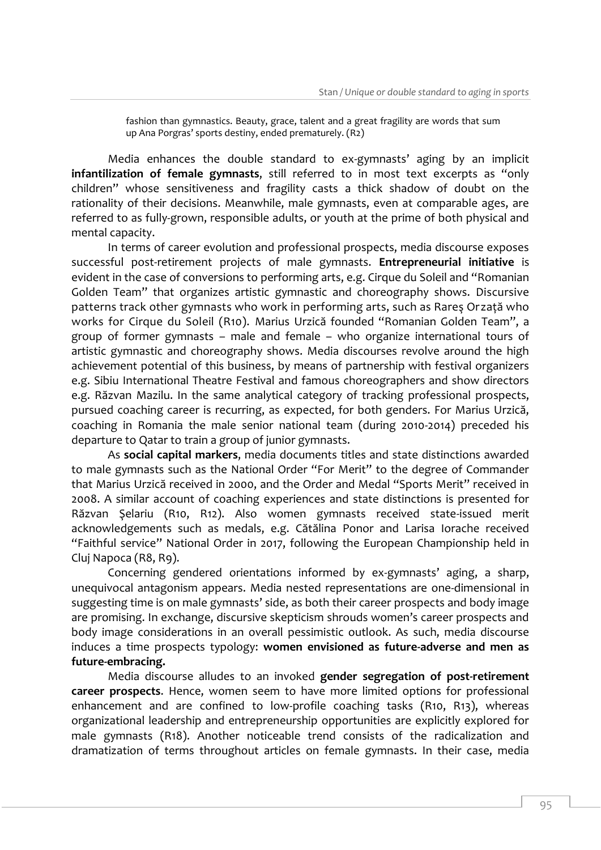fashion than gymnastics. Beauty, grace, talent and a great fragility are words that sum up Ana Porgras' sports destiny, ended prematurely. (R2)

Media enhances the double standard to ex-gymnasts' aging by an implicit **infantilization of female gymnasts**, still referred to in most text excerpts as "only children" whose sensitiveness and fragility casts a thick shadow of doubt on the rationality of their decisions. Meanwhile, male gymnasts, even at comparable ages, are referred to as fully-grown, responsible adults, or youth at the prime of both physical and mental capacity.

In terms of career evolution and professional prospects, media discourse exposes successful post-retirement projects of male gymnasts. **Entrepreneurial initiative** is evident in the case of conversions to performing arts, e.g. Cirque du Soleil and "Romanian Golden Team" that organizes artistic gymnastic and choreography shows. Discursive patterns track other gymnasts who work in performing arts, such as Rareş Orzaţă who works for Cirque du Soleil (R10). Marius Urzică founded "Romanian Golden Team", a group of former gymnasts – male and female – who organize international tours of artistic gymnastic and choreography shows. Media discourses revolve around the high achievement potential of this business, by means of partnership with festival organizers e.g. Sibiu International Theatre Festival and famous choreographers and show directors e.g. Răzvan Mazilu. In the same analytical category of tracking professional prospects, pursued coaching career is recurring, as expected, for both genders. For Marius Urzică, coaching in Romania the male senior national team (during 2010-2014) preceded his departure to Qatar to train a group of junior gymnasts.

As **social capital markers**, media documents titles and state distinctions awarded to male gymnasts such as the National Order "For Merit" to the degree of Commander that Marius Urzică received in 2000, and the Order and Medal "Sports Merit" received in 2008. A similar account of coaching experiences and state distinctions is presented for Răzvan Şelariu (R10, R12). Also women gymnasts received state-issued merit acknowledgements such as medals, e.g. Cătălina Ponor and Larisa Iorache received "Faithful service" National Order in 2017, following the European Championship held in Cluj Napoca (R8, R9).

Concerning gendered orientations informed by ex-gymnasts' aging, a sharp, unequivocal antagonism appears. Media nested representations are one-dimensional in suggesting time is on male gymnasts' side, as both their career prospects and body image are promising. In exchange, discursive skepticism shrouds women's career prospects and body image considerations in an overall pessimistic outlook. As such, media discourse induces a time prospects typology: **women envisioned as future-adverse and men as future-embracing.**

Media discourse alludes to an invoked **gender segregation of post-retirement career prospects**. Hence, women seem to have more limited options for professional enhancement and are confined to low-profile coaching tasks (R10, R13), whereas organizational leadership and entrepreneurship opportunities are explicitly explored for male gymnasts (R18). Another noticeable trend consists of the radicalization and dramatization of terms throughout articles on female gymnasts. In their case, media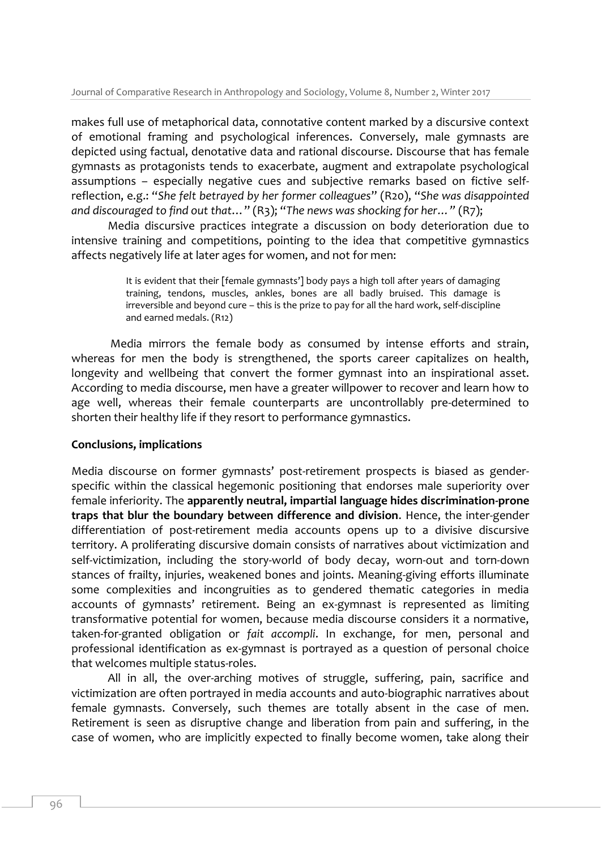makes full use of metaphorical data, connotative content marked by a discursive context of emotional framing and psychological inferences. Conversely, male gymnasts are depicted using factual, denotative data and rational discourse. Discourse that has female gymnasts as protagonists tends to exacerbate, augment and extrapolate psychological assumptions – especially negative cues and subjective remarks based on fictive selfreflection, e.g.: "*She felt betrayed by her former colleagues*" (R20), "*She was disappointed and discouraged to find out that*…" (R3); "*The news was shocking for her…"* (R7);

Media discursive practices integrate a discussion on body deterioration due to intensive training and competitions, pointing to the idea that competitive gymnastics affects negatively life at later ages for women, and not for men:

> It is evident that their [female gymnasts'] body pays a high toll after years of damaging training, tendons, muscles, ankles, bones are all badly bruised. This damage is irreversible and beyond cure – this is the prize to pay for all the hard work, self-discipline and earned medals. (R12)

Media mirrors the female body as consumed by intense efforts and strain, whereas for men the body is strengthened, the sports career capitalizes on health, longevity and wellbeing that convert the former gymnast into an inspirational asset. According to media discourse, men have a greater willpower to recover and learn how to age well, whereas their female counterparts are uncontrollably pre-determined to shorten their healthy life if they resort to performance gymnastics.

## **Conclusions, implications**

Media discourse on former gymnasts' post-retirement prospects is biased as genderspecific within the classical hegemonic positioning that endorses male superiority over female inferiority. The **apparently neutral, impartial language hides discrimination-prone traps that blur the boundary between difference and division**. Hence, the inter-gender differentiation of post-retirement media accounts opens up to a divisive discursive territory. A proliferating discursive domain consists of narratives about victimization and self-victimization, including the story-world of body decay, worn-out and torn-down stances of frailty, injuries, weakened bones and joints. Meaning-giving efforts illuminate some complexities and incongruities as to gendered thematic categories in media accounts of gymnasts' retirement. Being an ex-gymnast is represented as limiting transformative potential for women, because media discourse considers it a normative, taken-for-granted obligation or *fait accompli*. In exchange, for men, personal and professional identification as ex-gymnast is portrayed as a question of personal choice that welcomes multiple status-roles.

All in all, the over-arching motives of struggle, suffering, pain, sacrifice and victimization are often portrayed in media accounts and auto-biographic narratives about female gymnasts. Conversely, such themes are totally absent in the case of men. Retirement is seen as disruptive change and liberation from pain and suffering, in the case of women, who are implicitly expected to finally become women, take along their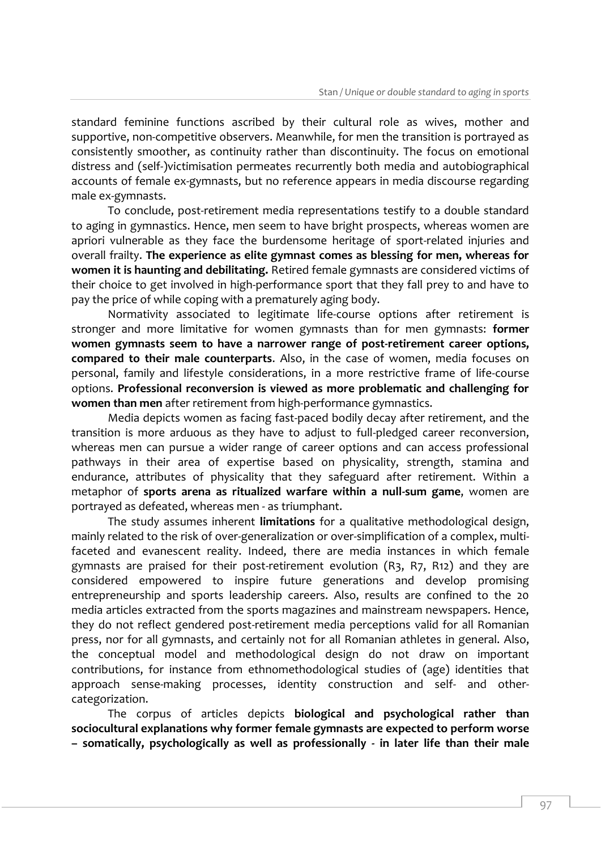standard feminine functions ascribed by their cultural role as wives, mother and supportive, non-competitive observers. Meanwhile, for men the transition is portrayed as consistently smoother, as continuity rather than discontinuity. The focus on emotional distress and (self-)victimisation permeates recurrently both media and autobiographical accounts of female ex-gymnasts, but no reference appears in media discourse regarding male ex-gymnasts.

To conclude, post-retirement media representations testify to a double standard to aging in gymnastics. Hence, men seem to have bright prospects, whereas women are apriori vulnerable as they face the burdensome heritage of sport-related injuries and overall frailty. **The experience as elite gymnast comes as blessing for men, whereas for women it is haunting and debilitating.** Retired female gymnasts are considered victims of their choice to get involved in high-performance sport that they fall prey to and have to pay the price of while coping with a prematurely aging body.

Normativity associated to legitimate life-course options after retirement is stronger and more limitative for women gymnasts than for men gymnasts: **former women gymnasts seem to have a narrower range of post-retirement career options, compared to their male counterparts**. Also, in the case of women, media focuses on personal, family and lifestyle considerations, in a more restrictive frame of life-course options. **Professional reconversion is viewed as more problematic and challenging for women than men** after retirement from high-performance gymnastics.

Media depicts women as facing fast-paced bodily decay after retirement, and the transition is more arduous as they have to adjust to full-pledged career reconversion, whereas men can pursue a wider range of career options and can access professional pathways in their area of expertise based on physicality, strength, stamina and endurance, attributes of physicality that they safeguard after retirement. Within a metaphor of **sports arena as ritualized warfare within a null-sum game**, women are portrayed as defeated, whereas men - as triumphant.

The study assumes inherent **limitations** for a qualitative methodological design, mainly related to the risk of over-generalization or over-simplification of a complex, multifaceted and evanescent reality. Indeed, there are media instances in which female gymnasts are praised for their post-retirement evolution (R3, R7, R12) and they are considered empowered to inspire future generations and develop promising entrepreneurship and sports leadership careers. Also, results are confined to the 20 media articles extracted from the sports magazines and mainstream newspapers. Hence, they do not reflect gendered post-retirement media perceptions valid for all Romanian press, nor for all gymnasts, and certainly not for all Romanian athletes in general. Also, the conceptual model and methodological design do not draw on important contributions, for instance from ethnomethodological studies of (age) identities that approach sense-making processes, identity construction and self- and othercategorization.

The corpus of articles depicts **biological and psychological rather than sociocultural explanations why former female gymnasts are expected to perform worse – somatically, psychologically as well as professionally - in later life than their male**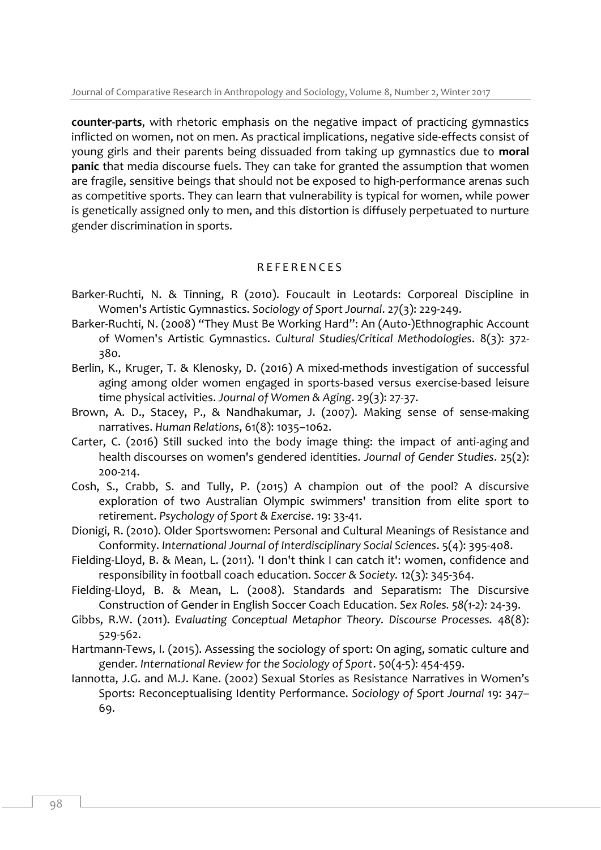**counter-parts**, with rhetoric emphasis on the negative impact of practicing gymnastics inflicted on women, not on men. As practical implications, negative side-effects consist of young girls and their parents being dissuaded from taking up gymnastics due to **moral panic** that media discourse fuels. They can take for granted the assumption that women are fragile, sensitive beings that should not be exposed to high-performance arenas such as competitive sports. They can learn that vulnerability is typical for women, while power is genetically assigned only to men, and this distortion is diffusely perpetuated to nurture gender discrimination in sports.

## R E F E R E N C E S

- Barker-Ruchti, N. & Tinning, R (2010). Foucault in Leotards: Corporeal Discipline in Women's Artistic Gymnastics. *Sociology of Sport Journal*. 27(3): 229-249.
- Barker-Ruchti, N. (2008) "They Must Be Working Hard": An (Auto-)Ethnographic Account of Women's Artistic Gymnastics. *Cultural Studies/Critical Methodologies*. 8(3): 372- 380.
- Berlin, K., Kruger, T. & Klenosky, D. (2016) A mixed-methods investigation of successful aging among older women engaged in sports-based versus exercise-based leisure time physical activities. *Journal of Women & Aging*. 29(3): 27-37.
- Brown, A. D., Stacey, P., & Nandhakumar, J. (2007). Making sense of sense-making narratives. *Human Relations*, 61(8): 1035–1062.
- Carter, C. (2016) Still sucked into the body image thing: the impact of anti-aging and health discourses on women's gendered identities. *Journal of Gender Studies*. 25(2): 200-214.
- Cosh, S., Crabb, S. and Tully, P. (2015) A champion out of the pool? A discursive exploration of two Australian Olympic swimmers' transition from elite sport to retirement. *Psychology of Sport & Exercise*. 19: 33-41.
- Dionigi, R. (2010). Older Sportswomen: Personal and Cultural Meanings of Resistance and Conformity. *International Journal of Interdisciplinary Social Sciences*. 5(4): 395-408.
- Fielding-Lloyd, B. & Mean, L. (2011). 'I don't think I can catch it': women, confidence and responsibility in football coach education. *Soccer & Society.* 12(3): 345-364.
- Fielding-Lloyd, B. & Mean, L. (2008). Standards and Separatism: The Discursive Construction of Gender in English Soccer Coach Education. *Sex Roles. 58(1-2):* 24-39.
- Gibbs, R.W. (2011). *Evaluating Conceptual Metaphor Theory. Discourse Processes.* 48(8): 529-562.
- Hartmann-Tews, I. (2015). Assessing the sociology of sport: On aging, somatic culture and gender*. International Review for the Sociology of Sport*. 50(4-5): 454-459.
- Iannotta, J.G. and M.J. Kane. (2002) Sexual Stories as Resistance Narratives in Women's Sports: Reconceptualising Identity Performance. *Sociology of Sport Journal* 19: 347– 69.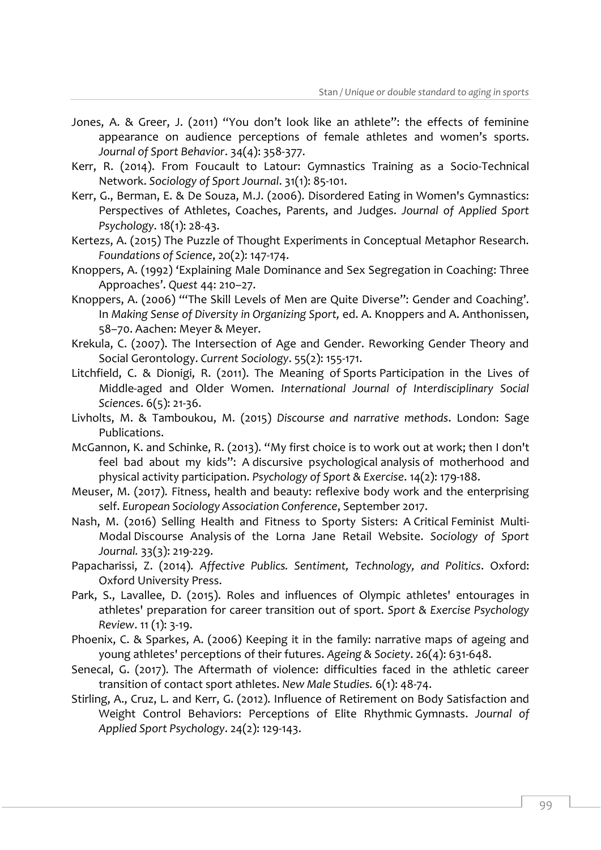- Jones, A. & Greer, J. (2011) "You don't look like an athlete": the effects of feminine appearance on audience perceptions of female athletes and women's sports. *Journal of Sport Behavior*. 34(4): 358-377.
- Kerr, R. (2014). From Foucault to Latour: Gymnastics Training as a Socio-Technical Network. *Sociology of Sport Journal*. 31(1): 85-101.
- Kerr, G., Berman, E. & De Souza, M.J. (2006). Disordered Eating in Women's Gymnastics: Perspectives of Athletes, Coaches, Parents, and Judges. *Journal of Applied Sport Psychology*. 18(1): 28-43.
- Kertezs, A. (2015) The Puzzle of Thought Experiments in Conceptual Metaphor Research. *Foundations of Science*, 20(2): 147-174.
- Knoppers, A. (1992) 'Explaining Male Dominance and Sex Segregation in Coaching: Three Approaches'. *Quest* 44: 210–27.
- Knoppers, A. (2006) '"The Skill Levels of Men are Quite Diverse": Gender and Coaching'. In *Making Sense of Diversity in Organizing Sport,* ed. A. Knoppers and A. Anthonissen, 58–70. Aachen: Meyer & Meyer.
- Krekula, C. (2007). The Intersection of Age and Gender. Reworking Gender Theory and Social Gerontology. *Current Sociology*. 55(2): 155-171.
- Litchfield, C. & Dionigi, R. (2011). The Meaning of Sports Participation in the Lives of Middle-aged and Older Women. *International Journal of Interdisciplinary Social Science*s. 6(5): 21-36.
- Livholts, M. & Tamboukou, M. (2015) *Discourse and narrative methods*. London: Sage Publications.
- McGannon, K. and Schinke, R. (2013). "My first choice is to work out at work; then I don't feel bad about my kids": A discursive psychological analysis of motherhood and physical activity participation. *Psychology of Sport & Exercise*. 14(2): 179-188.
- Meuser, M. (2017). Fitness, health and beauty: reflexive body work and the enterprising self. *European Sociology Association Conference*, September 2017.
- Nash, M. (2016) Selling Health and Fitness to Sporty Sisters: A Critical Feminist Multi-Modal Discourse Analysis of the Lorna Jane Retail Website. *Sociology of Sport Journal.* 33(3): 219-229.
- Papacharissi, Z. (2014). *Affective Publics. Sentiment, Technology, and Politics*. Oxford: Oxford University Press.
- Park, S., Lavallee, D. (2015). Roles and influences of Olympic athletes' entourages in athletes' preparation for career transition out of sport. *Sport & Exercise Psychology Review*. 11 (1): 3-19.
- Phoenix, C. & Sparkes, A. (2006) Keeping it in the family: narrative maps of ageing and young athletes' perceptions of their futures. *Ageing & Society*. 26(4): 631-648.
- Senecal, G. (2017). The Aftermath of violence: difficulties faced in the athletic career transition of contact sport athletes. *New Male Studies.* 6(1): 48-74.
- Stirling, A., Cruz, L. and Kerr, G. (2012). Influence of Retirement on Body Satisfaction and Weight Control Behaviors: Perceptions of Elite Rhythmic Gymnasts. *Journal of Applied Sport Psychology*. 24(2): 129-143.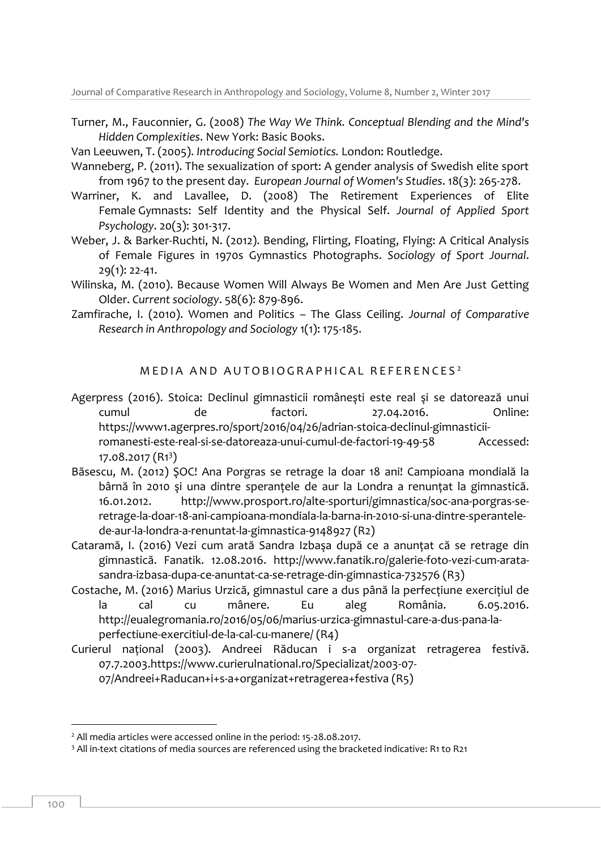Turner, M., Fauconnier, G. (2008) *The Way We Think. Conceptual Blending and the Mind's Hidden Complexities*. New York: Basic Books.

Van Leeuwen, T. (2005). *Introducing Social Semiotics.* London: Routledge.

- Wanneberg, P. (2011). The sexualization of sport: A gender analysis of Swedish elite sport from 1967 to the present day. *European Journal of Women's Studies*. 18(3): 265-278.
- Warriner, K. and Lavallee, D. (2008) The Retirement Experiences of Elite Female Gymnasts: Self Identity and the Physical Self. *Journal of Applied Sport Psychology*. 20(3): 301-317.
- Weber, J. & Barker-Ruchti, N. (2012). Bending, Flirting, Floating, Flying: A Critical Analysis of Female Figures in 1970s Gymnastics Photographs. *Sociology of Sport Journal*. 29(1): 22-41.
- Wilinska, M. (2010). Because Women Will Always Be Women and Men Are Just Getting Older. *Current sociology*. 58(6): 879-896.
- Zamfirache, I. (2010). Women and Politics The Glass Ceiling. *Journal of Comparative Research in Anthropology and Sociology* 1(1): 175-185.

MEDIA AND AUTOBIOGRAPHICAL REFERENCES<sup>2</sup>

- Agerpress (2016). Stoica: Declinul gimnasticii româneşti este real şi se datorează unui cumul de factori. 27.04.2016. Online: https://www1.agerpres.ro/sport/2016/04/26/adrian-stoica-declinul-gimnasticiiromanesti-este-real-si-se-datoreaza-unui-cumul-de-factori-19-49-58 Accessed: 17.08.2017 (R1<sup>3</sup>)
- Băsescu, M. (2012) ŞOC! Ana Porgras se retrage la doar 18 ani! Campioana mondială la bârnă în 2010 şi una dintre speranţele de aur la Londra a renunţat la gimnastică. 16.01.2012. http://www.prosport.ro/alte-sporturi/gimnastica/soc-ana-porgras-seretrage-la-doar-18-ani-campioana-mondiala-la-barna-in-2010-si-una-dintre-sperantelede-aur-la-londra-a-renuntat-la-gimnastica-9148927 (R2)
- Cataramă, I. (2016) Vezi cum arată Sandra Izbaşa după ce a anunţat că se retrage din gimnastică. Fanatik. 12.08.2016. [http://www.fanatik.ro/galerie-foto-vezi-cum-arata](http://www.fanatik.ro/galerie-foto-vezi-cum-arata-sandra-izbasa-dupa-ce-anuntat-ca-se-retrage-din-gimnastica-732576)[sandra-izbasa-dupa-ce-anuntat-ca-se-retrage-din-gimnastica-732576](http://www.fanatik.ro/galerie-foto-vezi-cum-arata-sandra-izbasa-dupa-ce-anuntat-ca-se-retrage-din-gimnastica-732576) (R3)
- Costache, M. (2016) Marius Urzică, gimnastul care a dus până la perfecţiune exerciţiul de la cal cu mânere. Eu aleg România. 6.05.2016. [http://eualegromania.ro/2016/05/06/marius-urzica-gimnastul-care-a-dus-pana-la](http://eualegromania.ro/2016/05/06/marius-urzica-gimnastul-care-a-dus-pana-la-perfectiune-exercitiul-de-la-cal-cu-manere/)[perfectiune-exercitiul-de-la-cal-cu-manere/](http://eualegromania.ro/2016/05/06/marius-urzica-gimnastul-care-a-dus-pana-la-perfectiune-exercitiul-de-la-cal-cu-manere/) (R4)
- Curierul naţional (2003). Andreei Răducan i s-a organizat retragerea festivă. 07.7.2003[.https://www.curierulnational.ro/Specializat/2003-07-](https://www.curierulnational.ro/Specializat/2003-07-07/Andreei+Raducan+i+s-a+organizat+retragerea+festiva)

[07/Andreei+Raducan+i+s-a+organizat+retragerea+festiva](https://www.curierulnational.ro/Specializat/2003-07-07/Andreei+Raducan+i+s-a+organizat+retragerea+festiva) (R5)

-

<sup>&</sup>lt;sup>2</sup> All media articles were accessed online in the period: 15-28.08.2017.

<sup>&</sup>lt;sup>3</sup> All in-text citations of media sources are referenced using the bracketed indicative: R1 to R21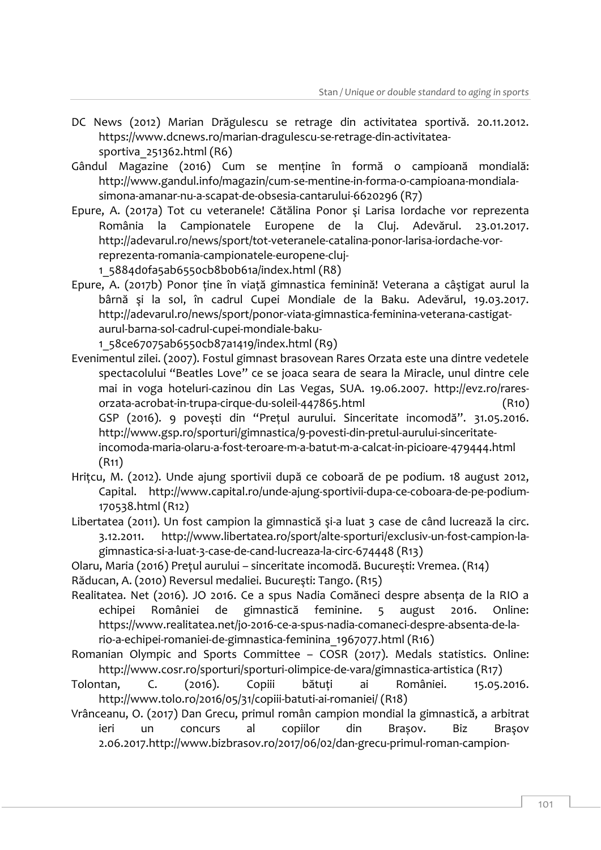- DC News (2012) Marian Drăgulescu se retrage din activitatea sportivă. 20.11.2012. [https://www.dcnews.ro/marian-dragulescu-se-retrage-din-activitatea](https://www.dcnews.ro/marian-dragulescu-se-retrage-din-activitatea-sportiva_251362.html)[sportiva\\_251362.html](https://www.dcnews.ro/marian-dragulescu-se-retrage-din-activitatea-sportiva_251362.html) (R6)
- Gândul Magazine (2016) Cum se menţine în formă o campioană mondială: [http://www.gandul.info/magazin/cum-se-mentine-in-forma-o-campioana-mondiala](http://www.gandul.info/magazin/cum-se-mentine-in-forma-o-campioana-mondiala-simona-amanar-nu-a-scapat-de-obsesia-cantarului-6620296)[simona-amanar-nu-a-scapat-de-obsesia-cantarului-6620296](http://www.gandul.info/magazin/cum-se-mentine-in-forma-o-campioana-mondiala-simona-amanar-nu-a-scapat-de-obsesia-cantarului-6620296) (R7)
- Epure, A. (2017a) Tot cu veteranele! Cătălina Ponor şi Larisa Iordache vor reprezenta România la Campionatele Europene de la Cluj. Adevărul. 23.01.2017. [http://adevarul.ro/news/sport/tot-veteranele-catalina-ponor-larisa-iordache-vor](http://adevarul.ro/news/sport/tot-veteranele-catalina-ponor-larisa-iordache-vor-reprezenta-romania-campionatele-europene-cluj-1_5884d0fa5ab6550cb8b0b61a/index.html)[reprezenta-romania-campionatele-europene-cluj-](http://adevarul.ro/news/sport/tot-veteranele-catalina-ponor-larisa-iordache-vor-reprezenta-romania-campionatele-europene-cluj-1_5884d0fa5ab6550cb8b0b61a/index.html)

[1\\_5884d0fa5ab6550cb8b0b61a/index.html](http://adevarul.ro/news/sport/tot-veteranele-catalina-ponor-larisa-iordache-vor-reprezenta-romania-campionatele-europene-cluj-1_5884d0fa5ab6550cb8b0b61a/index.html) (R8)

Epure, A. (2017b) Ponor ţine în viaţă gimnastica feminină! Veterana a câştigat aurul la bârnă şi la sol, în cadrul Cupei Mondiale de la Baku. Adevărul, 19.03.2017. [http://adevarul.ro/news/sport/ponor-viata-gimnastica-feminina-veterana-castigat](http://adevarul.ro/news/sport/ponor-viata-gimnastica-feminina-veterana-castigat-aurul-barna-sol-cadrul-cupei-mondiale-baku-1_58ce67075ab6550cb87a1419/index.html)[aurul-barna-sol-cadrul-cupei-mondiale-baku-](http://adevarul.ro/news/sport/ponor-viata-gimnastica-feminina-veterana-castigat-aurul-barna-sol-cadrul-cupei-mondiale-baku-1_58ce67075ab6550cb87a1419/index.html)

[1\\_58ce67075ab6550cb87a1419/index.html](http://adevarul.ro/news/sport/ponor-viata-gimnastica-feminina-veterana-castigat-aurul-barna-sol-cadrul-cupei-mondiale-baku-1_58ce67075ab6550cb87a1419/index.html) (R9)

- Evenimentul zilei. (2007). Fostul gimnast brasovean Rares Orzata este una dintre vedetele spectacolului "Beatles Love" ce se joaca seara de seara la Miracle, unul dintre cele mai in voga hoteluri-cazinou din Las Vegas, SUA. 19.06.2007. [http://evz.ro/rares](http://evz.ro/rares-orzata-acrobat-in-trupa-cirque-du-soleil-447865.html)[orzata-acrobat-in-trupa-cirque-du-soleil-447865.html](http://evz.ro/rares-orzata-acrobat-in-trupa-cirque-du-soleil-447865.html) (R10) GSP (2016). 9 poveşti din "Preţul aurului. Sinceritate incomodă". 31.05.2016. [http://www.gsp.ro/sporturi/gimnastica/9-povesti-din-pretul-aurului-sinceritate](http://www.gsp.ro/sporturi/gimnastica/9-povesti-din-pretul-aurului-sinceritate-incomoda-maria-olaru-a-fost-teroare-m-a-batut-m-a-calcat-in-picioare-479444.html)[incomoda-maria-olaru-a-fost-teroare-m-a-batut-m-a-calcat-in-picioare-479444.html](http://www.gsp.ro/sporturi/gimnastica/9-povesti-din-pretul-aurului-sinceritate-incomoda-maria-olaru-a-fost-teroare-m-a-batut-m-a-calcat-in-picioare-479444.html) (R11)
- Hriţcu, M. (2012). Unde ajung sportivii după ce coboară de pe podium. 18 august 2012, Capital. [http://www.capital.ro/unde-ajung-sportivii-dupa-ce-coboara-de-pe-podium-](http://www.capital.ro/unde-ajung-sportivii-dupa-ce-coboara-de-pe-podium-170538.html)[170538.html](http://www.capital.ro/unde-ajung-sportivii-dupa-ce-coboara-de-pe-podium-170538.html) (R12)
- Libertatea (2011). Un fost campion la gimnastică şi-a luat 3 case de când lucrează la circ. 3.12.2011. [http://www.libertatea.ro/sport/alte-sporturi/exclusiv-un-fost-campion-la](http://www.libertatea.ro/sport/alte-sporturi/exclusiv-un-fost-campion-la-gimnastica-si-a-luat-3-case-de-cand-lucreaza-la-circ-674448)[gimnastica-si-a-luat-3-case-de-cand-lucreaza-la-circ-674448](http://www.libertatea.ro/sport/alte-sporturi/exclusiv-un-fost-campion-la-gimnastica-si-a-luat-3-case-de-cand-lucreaza-la-circ-674448) (R13)
- Olaru, Maria (2016) Preţul aurului sinceritate incomodă. Bucureşti: Vremea. (R14)
- Răducan, A. (2010) Reversul medaliei. Bucureşti: Tango. (R15)
- Realitatea. Net (2016). JO 2016. Ce a spus Nadia Comăneci despre absenţa de la RIO a echipei României de gimnastică feminine. 5 august 2016. Online: [https://www.realitatea.net/jo-2016-ce-a-spus-nadia-comaneci-despre-absenta-de-la](https://www.realitatea.net/jo-2016-ce-a-spus-nadia-comaneci-despre-absenta-de-la-rio-a-echipei-romaniei-de-gimnastica-feminina_1967077.html)[rio-a-echipei-romaniei-de-gimnastica-feminina\\_1967077.html](https://www.realitatea.net/jo-2016-ce-a-spus-nadia-comaneci-despre-absenta-de-la-rio-a-echipei-romaniei-de-gimnastica-feminina_1967077.html) (R16)
- Romanian Olympic and Sports Committee COSR (2017). Medals statistics. Online: <http://www.cosr.ro/sporturi/sporturi-olimpice-de-vara/gimnastica-artistica> (R17)
- Tolontan, C. (2016). Copiii bătuţi ai României. 15.05.2016. <http://www.tolo.ro/2016/05/31/copiii-batuti-ai-romaniei/> (R18)
- Vrânceanu, O. (2017) Dan Grecu, primul român campion mondial la gimnastică, a arbitrat ieri un concurs al copiilor din Brașov. Biz Braşov 2.06.2017[.http://www.bizbrasov.ro/2017/06/02/dan-grecu-primul-roman-campion-](http://www.bizbrasov.ro/2017/06/02/dan-grecu-primul-roman-campion-mondial-la-gimnastica-arbitrat-ieri-un-concurs-al-copiilor-din-brasov-un-alt-arbitru-fost-viceprimarul-mihai-costel-fost-gimnast/)